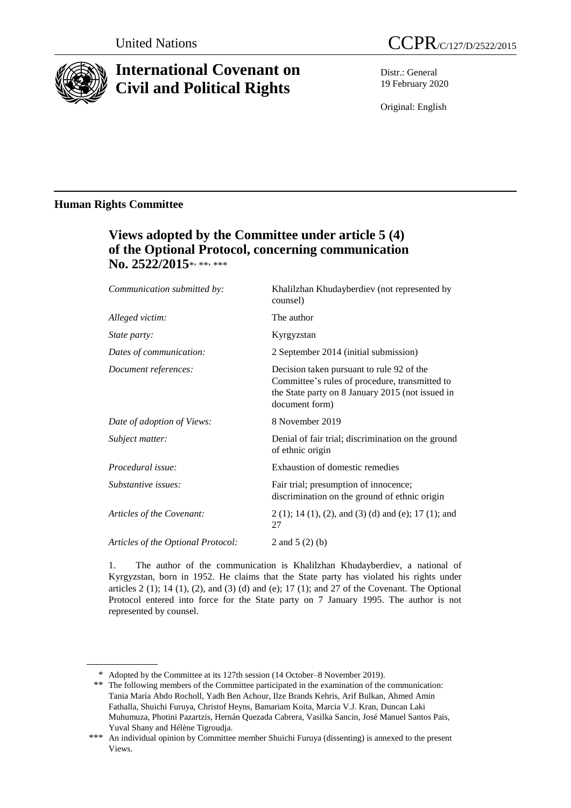

# **International Covenant on Civil and Political Rights**

Distr.: General 19 February 2020

Original: English

# **Human Rights Committee**

# **Views adopted by the Committee under article 5 (4) of the Optional Protocol, concerning communication**  No. 2522/2015\*<sub>\*\*\*\*\*\*</sub>

| Communication submitted by:        | Khalilzhan Khudayberdiev (not represented by<br>counsel)                                                                                                          |
|------------------------------------|-------------------------------------------------------------------------------------------------------------------------------------------------------------------|
| Alleged victim:                    | The author                                                                                                                                                        |
| State party:                       | Kyrgyzstan                                                                                                                                                        |
| Dates of communication:            | 2 September 2014 (initial submission)                                                                                                                             |
| Document references:               | Decision taken pursuant to rule 92 of the<br>Committee's rules of procedure, transmitted to<br>the State party on 8 January 2015 (not issued in<br>document form) |
| Date of adoption of Views:         | 8 November 2019                                                                                                                                                   |
| Subject matter:                    | Denial of fair trial; discrimination on the ground<br>of ethnic origin                                                                                            |
| Procedural issue:                  | Exhaustion of domestic remedies                                                                                                                                   |
| Substantive issues:                | Fair trial; presumption of innocence;<br>discrimination on the ground of ethnic origin                                                                            |
| Articles of the Covenant:          | $2(1)$ ; 14 (1), (2), and (3) (d) and (e); 17 (1); and<br>27                                                                                                      |
| Articles of the Optional Protocol: | 2 and $5(2)(b)$                                                                                                                                                   |

1. The author of the communication is Khalilzhan Khudayberdiev, a national of Kyrgyzstan, born in 1952. He claims that the State party has violated his rights under articles  $2$  (1); 14 (1), (2), and (3) (d) and (e); 17 (1); and 27 of the Covenant. The Optional Protocol entered into force for the State party on 7 January 1995. The author is not represented by counsel.

<sup>\*</sup> Adopted by the Committee at its 127th session (14 October–8 November 2019).

<sup>\*\*</sup> The following members of the Committee participated in the examination of the communication: Tania María Abdo Rocholl, Yadh Ben Achour, Ilze Brands Kehris, Arif Bulkan, Ahmed Amin Fathalla, Shuichi Furuya, Christof Heyns, Bamariam Koita, Marcia V.J. Kran, Duncan Laki Muhumuza, Photini Pazartzis, Hernán Quezada Cabrera, Vasilka Sancin, José Manuel Santos Pais, Yuval Shany and Hélène Tigroudja.

<sup>\*\*\*</sup> An individual opinion by Committee member Shuichi Furuya (dissenting) is annexed to the present Views.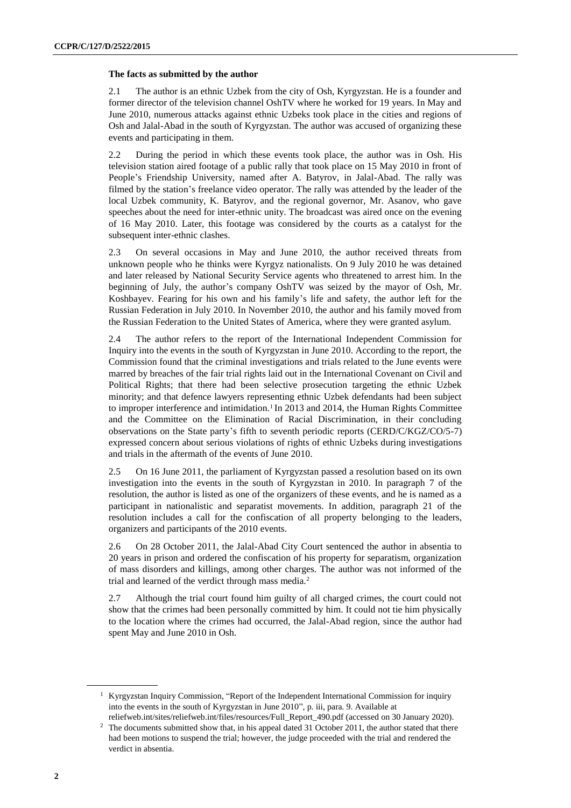#### **The facts as submitted by the author**

2.1 The author is an ethnic Uzbek from the city of Osh, Kyrgyzstan. He is a founder and former director of the television channel OshTV where he worked for 19 years. In May and June 2010, numerous attacks against ethnic Uzbeks took place in the cities and regions of Osh and Jalal-Abad in the south of Kyrgyzstan. The author was accused of organizing these events and participating in them.

2.2 During the period in which these events took place, the author was in Osh. His television station aired footage of a public rally that took place on 15 May 2010 in front of People's Friendship University, named after A. Batyrov, in Jalal-Abad. The rally was filmed by the station's freelance video operator. The rally was attended by the leader of the local Uzbek community, K. Batyrov, and the regional governor, Mr. Asanov, who gave speeches about the need for inter-ethnic unity. The broadcast was aired once on the evening of 16 May 2010. Later, this footage was considered by the courts as a catalyst for the subsequent inter-ethnic clashes.

2.3 On several occasions in May and June 2010, the author received threats from unknown people who he thinks were Kyrgyz nationalists. On 9 July 2010 he was detained and later released by National Security Service agents who threatened to arrest him. In the beginning of July, the author's company OshTV was seized by the mayor of Osh, Mr. Koshbayev. Fearing for his own and his family's life and safety, the author left for the Russian Federation in July 2010. In November 2010, the author and his family moved from the Russian Federation to the United States of America, where they were granted asylum.

2.4 The author refers to the report of the International Independent Commission for Inquiry into the events in the south of Kyrgyzstan in June 2010. According to the report, the Commission found that the criminal investigations and trials related to the June events were marred by breaches of the fair trial rights laid out in the International Covenant on Civil and Political Rights; that there had been selective prosecution targeting the ethnic Uzbek minority; and that defence lawyers representing ethnic Uzbek defendants had been subject to improper interference and intimidation.<sup>1</sup> In 2013 and 2014, the Human Rights Committee and the Committee on the Elimination of Racial Discrimination, in their concluding observations on the State party's fifth to seventh periodic reports (CERD/C/KGZ/CO/5-7) expressed concern about serious violations of rights of ethnic Uzbeks during investigations and trials in the aftermath of the events of June 2010.

2.5 On 16 June 2011, the parliament of Kyrgyzstan passed a resolution based on its own investigation into the events in the south of Kyrgyzstan in 2010. In paragraph 7 of the resolution, the author is listed as one of the organizers of these events, and he is named as a participant in nationalistic and separatist movements. In addition, paragraph 21 of the resolution includes a call for the confiscation of all property belonging to the leaders, organizers and participants of the 2010 events.

2.6 On 28 October 2011, the Jalal-Abad City Court sentenced the author in absentia to 20 years in prison and ordered the confiscation of his property for separatism, organization of mass disorders and killings, among other charges. The author was not informed of the trial and learned of the verdict through mass media.<sup>2</sup>

2.7 Although the trial court found him guilty of all charged crimes, the court could not show that the crimes had been personally committed by him. It could not tie him physically to the location where the crimes had occurred, the Jalal-Abad region, since the author had spent May and June 2010 in Osh.

<sup>&</sup>lt;sup>1</sup> Kyrgyzstan Inquiry Commission, "Report of the Independent International Commission for inquiry into the events in the south of Kyrgyzstan in June 2010", p. iii, para. 9. Available at

[reliefweb.int/sites/reliefweb.int/files/resources/Full\\_Report\\_490.pdf](https://reliefweb.int/sites/reliefweb.int/files/resources/Full_Report_490.pdf) (accessed on 30 January 2020). <sup>2</sup> The documents submitted show that, in his appeal dated 31 October 2011, the author stated that there had been motions to suspend the trial; however, the judge proceeded with the trial and rendered the verdict in absentia.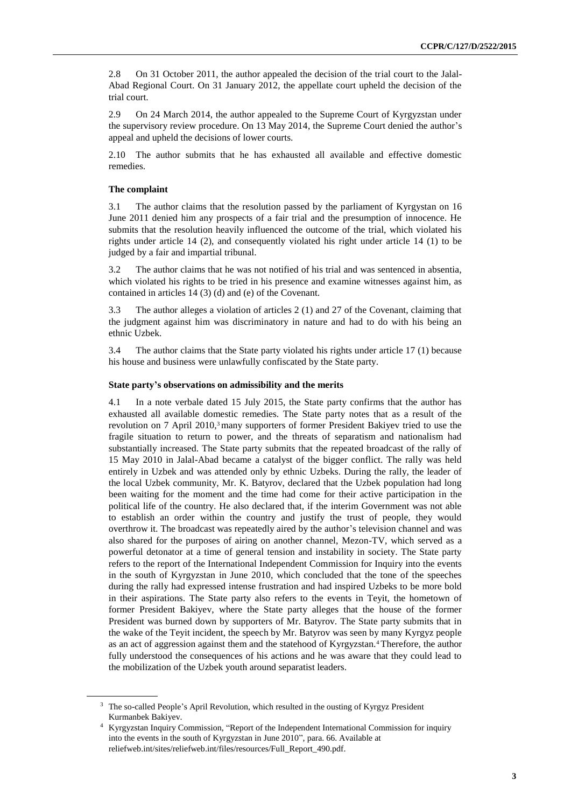2.8 On 31 October 2011, the author appealed the decision of the trial court to the Jalal-Abad Regional Court. On 31 January 2012, the appellate court upheld the decision of the trial court.

2.9 On 24 March 2014, the author appealed to the Supreme Court of Kyrgyzstan under the supervisory review procedure. On 13 May 2014, the Supreme Court denied the author's appeal and upheld the decisions of lower courts.

2.10 The author submits that he has exhausted all available and effective domestic remedies.

#### **The complaint**

3.1 The author claims that the resolution passed by the parliament of Kyrgystan on 16 June 2011 denied him any prospects of a fair trial and the presumption of innocence. He submits that the resolution heavily influenced the outcome of the trial, which violated his rights under article 14 (2), and consequently violated his right under article 14 (1) to be judged by a fair and impartial tribunal.

3.2 The author claims that he was not notified of his trial and was sentenced in absentia, which violated his rights to be tried in his presence and examine witnesses against him, as contained in articles 14 (3) (d) and (e) of the Covenant.

3.3 The author alleges a violation of articles 2 (1) and 27 of the Covenant, claiming that the judgment against him was discriminatory in nature and had to do with his being an ethnic Uzbek.

3.4 The author claims that the State party violated his rights under article 17 (1) because his house and business were unlawfully confiscated by the State party.

#### **State party's observations on admissibility and the merits**

4.1 In a note verbale dated 15 July 2015, the State party confirms that the author has exhausted all available domestic remedies. The State party notes that as a result of the revolution on 7 April 2010,<sup>3</sup> many supporters of former President Bakiyev tried to use the fragile situation to return to power, and the threats of separatism and nationalism had substantially increased. The State party submits that the repeated broadcast of the rally of 15 May 2010 in Jalal-Abad became a catalyst of the bigger conflict. The rally was held entirely in Uzbek and was attended only by ethnic Uzbeks. During the rally, the leader of the local Uzbek community, Mr. K. Batyrov, declared that the Uzbek population had long been waiting for the moment and the time had come for their active participation in the political life of the country. He also declared that, if the interim Government was not able to establish an order within the country and justify the trust of people, they would overthrow it. The broadcast was repeatedly aired by the author's television channel and was also shared for the purposes of airing on another channel, Mezon-TV, which served as a powerful detonator at a time of general tension and instability in society. The State party refers to the report of the International Independent Commission for Inquiry into the events in the south of Kyrgyzstan in June 2010, which concluded that the tone of the speeches during the rally had expressed intense frustration and had inspired Uzbeks to be more bold in their aspirations. The State party also refers to the events in Teyit, the hometown of former President Bakiyev, where the State party alleges that the house of the former President was burned down by supporters of Mr. Batyrov. The State party submits that in the wake of the Teyit incident, the speech by Mr. Batyrov was seen by many Kyrgyz people as an act of aggression against them and the statehood of Kyrgyzstan.<sup>4</sup> Therefore, the author fully understood the consequences of his actions and he was aware that they could lead to the mobilization of the Uzbek youth around separatist leaders.

<sup>&</sup>lt;sup>3</sup> The so-called People's April Revolution, which resulted in the ousting of Kyrgyz President Kurmanbek Bakiyev.

<sup>4</sup> Kyrgyzstan Inquiry Commission, "Report of the Independent International Commission for inquiry into the events in the south of Kyrgyzstan in June 2010", para. 66. Available at [reliefweb.int/sites/reliefweb.int/files/resources/Full\\_Report\\_490.pdf.](https://reliefweb.int/sites/reliefweb.int/files/resources/Full_Report_490.pdf)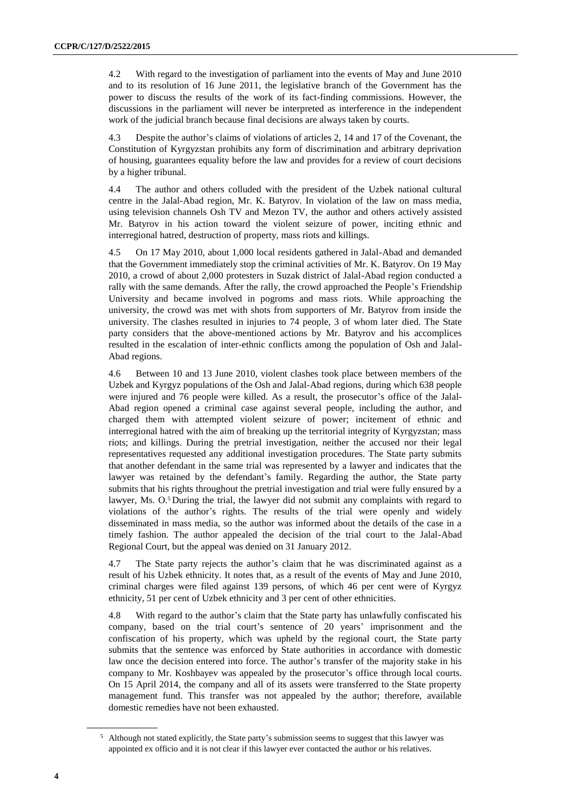4.2 With regard to the investigation of parliament into the events of May and June 2010 and to its resolution of 16 June 2011, the legislative branch of the Government has the power to discuss the results of the work of its fact-finding commissions. However, the discussions in the parliament will never be interpreted as interference in the independent work of the judicial branch because final decisions are always taken by courts.

4.3 Despite the author's claims of violations of articles 2, 14 and 17 of the Covenant, the Constitution of Kyrgyzstan prohibits any form of discrimination and arbitrary deprivation of housing, guarantees equality before the law and provides for a review of court decisions by a higher tribunal.

4.4 The author and others colluded with the president of the Uzbek national cultural centre in the Jalal-Abad region, Mr. K. Batyrov. In violation of the law on mass media, using television channels Osh TV and Mezon TV, the author and others actively assisted Mr. Batyrov in his action toward the violent seizure of power, inciting ethnic and interregional hatred, destruction of property, mass riots and killings.

4.5 On 17 May 2010, about 1,000 local residents gathered in Jalal-Abad and demanded that the Government immediately stop the criminal activities of Mr. K. Batyrov. On 19 May 2010, a crowd of about 2,000 protesters in Suzak district of Jalal-Abad region conducted a rally with the same demands. After the rally, the crowd approached the People's Friendship University and became involved in pogroms and mass riots. While approaching the university, the crowd was met with shots from supporters of Mr. Batyrov from inside the university. The clashes resulted in injuries to 74 people, 3 of whom later died. The State party considers that the above-mentioned actions by Mr. Batyrov and his accomplices resulted in the escalation of inter-ethnic conflicts among the population of Osh and Jalal-Abad regions.

4.6 Between 10 and 13 June 2010, violent clashes took place between members of the Uzbek and Kyrgyz populations of the Osh and Jalal-Abad regions, during which 638 people were injured and 76 people were killed. As a result, the prosecutor's office of the Jalal-Abad region opened a criminal case against several people, including the author, and charged them with attempted violent seizure of power; incitement of ethnic and interregional hatred with the aim of breaking up the territorial integrity of Kyrgyzstan; mass riots; and killings. During the pretrial investigation, neither the accused nor their legal representatives requested any additional investigation procedures. The State party submits that another defendant in the same trial was represented by a lawyer and indicates that the lawyer was retained by the defendant's family. Regarding the author, the State party submits that his rights throughout the pretrial investigation and trial were fully ensured by a lawyer, Ms.  $O<sup>5</sup>$  During the trial, the lawyer did not submit any complaints with regard to violations of the author's rights. The results of the trial were openly and widely disseminated in mass media, so the author was informed about the details of the case in a timely fashion. The author appealed the decision of the trial court to the Jalal-Abad Regional Court, but the appeal was denied on 31 January 2012.

4.7 The State party rejects the author's claim that he was discriminated against as a result of his Uzbek ethnicity. It notes that, as a result of the events of May and June 2010, criminal charges were filed against 139 persons, of which 46 per cent were of Kyrgyz ethnicity, 51 per cent of Uzbek ethnicity and 3 per cent of other ethnicities.

4.8 With regard to the author's claim that the State party has unlawfully confiscated his company, based on the trial court's sentence of 20 years' imprisonment and the confiscation of his property, which was upheld by the regional court, the State party submits that the sentence was enforced by State authorities in accordance with domestic law once the decision entered into force. The author's transfer of the majority stake in his company to Mr. Koshbayev was appealed by the prosecutor's office through local courts. On 15 April 2014, the company and all of its assets were transferred to the State property management fund. This transfer was not appealed by the author; therefore, available domestic remedies have not been exhausted.

<sup>&</sup>lt;sup>5</sup> Although not stated explicitly, the State party's submission seems to suggest that this lawyer was appointed ex officio and it is not clear if this lawyer ever contacted the author or his relatives.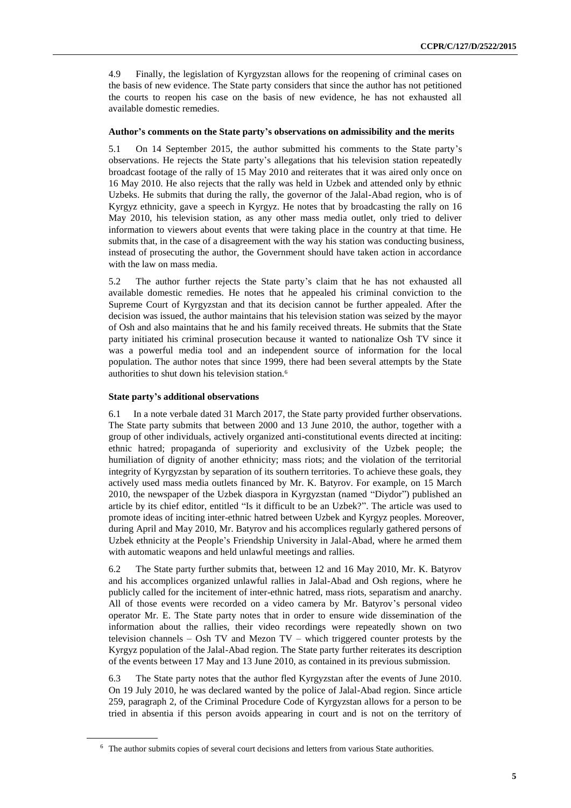4.9 Finally, the legislation of Kyrgyzstan allows for the reopening of criminal cases on the basis of new evidence. The State party considers that since the author has not petitioned the courts to reopen his case on the basis of new evidence, he has not exhausted all available domestic remedies.

#### **Author's comments on the State party's observations on admissibility and the merits**

5.1 On 14 September 2015, the author submitted his comments to the State party's observations. He rejects the State party's allegations that his television station repeatedly broadcast footage of the rally of 15 May 2010 and reiterates that it was aired only once on 16 May 2010. He also rejects that the rally was held in Uzbek and attended only by ethnic Uzbeks. He submits that during the rally, the governor of the Jalal-Abad region, who is of Kyrgyz ethnicity, gave a speech in Kyrgyz. He notes that by broadcasting the rally on 16 May 2010, his television station, as any other mass media outlet, only tried to deliver information to viewers about events that were taking place in the country at that time. He submits that, in the case of a disagreement with the way his station was conducting business, instead of prosecuting the author, the Government should have taken action in accordance with the law on mass media.

5.2 The author further rejects the State party's claim that he has not exhausted all available domestic remedies. He notes that he appealed his criminal conviction to the Supreme Court of Kyrgyzstan and that its decision cannot be further appealed. After the decision was issued, the author maintains that his television station was seized by the mayor of Osh and also maintains that he and his family received threats. He submits that the State party initiated his criminal prosecution because it wanted to nationalize Osh TV since it was a powerful media tool and an independent source of information for the local population. The author notes that since 1999, there had been several attempts by the State authorities to shut down his television station.<sup>6</sup>

#### **State party's additional observations**

6.1 In a note verbale dated 31 March 2017, the State party provided further observations. The State party submits that between 2000 and 13 June 2010, the author, together with a group of other individuals, actively organized anti-constitutional events directed at inciting: ethnic hatred; propaganda of superiority and exclusivity of the Uzbek people; the humiliation of dignity of another ethnicity; mass riots; and the violation of the territorial integrity of Kyrgyzstan by separation of its southern territories. To achieve these goals, they actively used mass media outlets financed by Mr. K. Batyrov. For example, on 15 March 2010, the newspaper of the Uzbek diaspora in Kyrgyzstan (named "Diydor") published an article by its chief editor, entitled "Is it difficult to be an Uzbek?". The article was used to promote ideas of inciting inter-ethnic hatred between Uzbek and Kyrgyz peoples. Moreover, during April and May 2010, Mr. Batyrov and his accomplices regularly gathered persons of Uzbek ethnicity at the People's Friendship University in Jalal-Abad, where he armed them with automatic weapons and held unlawful meetings and rallies.

6.2 The State party further submits that, between 12 and 16 May 2010, Mr. K. Batyrov and his accomplices organized unlawful rallies in Jalal-Abad and Osh regions, where he publicly called for the incitement of inter-ethnic hatred, mass riots, separatism and anarchy. All of those events were recorded on a video camera by Mr. Batyrov's personal video operator Mr. E. The State party notes that in order to ensure wide dissemination of the information about the rallies, their video recordings were repeatedly shown on two television channels – Osh TV and Mezon TV – which triggered counter protests by the Kyrgyz population of the Jalal-Abad region. The State party further reiterates its description of the events between 17 May and 13 June 2010, as contained in its previous submission.

6.3 The State party notes that the author fled Kyrgyzstan after the events of June 2010. On 19 July 2010, he was declared wanted by the police of Jalal-Abad region. Since article 259, paragraph 2, of the Criminal Procedure Code of Kyrgyzstan allows for a person to be tried in absentia if this person avoids appearing in court and is not on the territory of

<sup>&</sup>lt;sup>6</sup> The author submits copies of several court decisions and letters from various State authorities.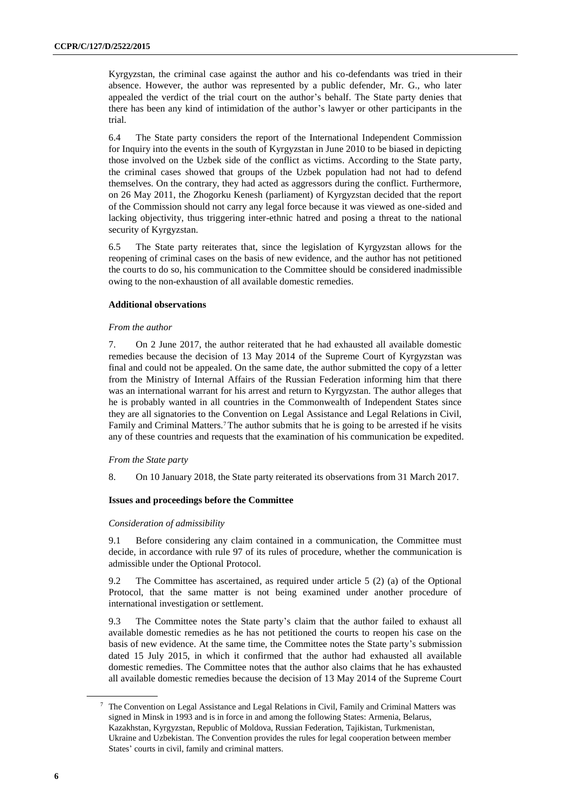Kyrgyzstan, the criminal case against the author and his co-defendants was tried in their absence. However, the author was represented by a public defender, Mr. G., who later appealed the verdict of the trial court on the author's behalf. The State party denies that there has been any kind of intimidation of the author's lawyer or other participants in the trial.

6.4 The State party considers the report of the International Independent Commission for Inquiry into the events in the south of Kyrgyzstan in June 2010 to be biased in depicting those involved on the Uzbek side of the conflict as victims. According to the State party, the criminal cases showed that groups of the Uzbek population had not had to defend themselves. On the contrary, they had acted as aggressors during the conflict. Furthermore, on 26 May 2011, the Zhogorku Kenesh (parliament) of Kyrgyzstan decided that the report of the Commission should not carry any legal force because it was viewed as one-sided and lacking objectivity, thus triggering inter-ethnic hatred and posing a threat to the national security of Kyrgyzstan.

6.5 The State party reiterates that, since the legislation of Kyrgyzstan allows for the reopening of criminal cases on the basis of new evidence, and the author has not petitioned the courts to do so, his communication to the Committee should be considered inadmissible owing to the non-exhaustion of all available domestic remedies.

#### **Additional observations**

#### *From the author*

7. On 2 June 2017, the author reiterated that he had exhausted all available domestic remedies because the decision of 13 May 2014 of the Supreme Court of Kyrgyzstan was final and could not be appealed. On the same date, the author submitted the copy of a letter from the Ministry of Internal Affairs of the Russian Federation informing him that there was an international warrant for his arrest and return to Kyrgyzstan. The author alleges that he is probably wanted in all countries in the Commonwealth of Independent States since they are all signatories to the Convention on Legal Assistance and Legal Relations in Civil, Family and Criminal Matters.<sup>7</sup>The author submits that he is going to be arrested if he visits any of these countries and requests that the examination of his communication be expedited.

#### *From the State party*

8. On 10 January 2018, the State party reiterated its observations from 31 March 2017.

#### **Issues and proceedings before the Committee**

#### *Consideration of admissibility*

9.1 Before considering any claim contained in a communication, the Committee must decide, in accordance with rule 97 of its rules of procedure, whether the communication is admissible under the Optional Protocol.

9.2 The Committee has ascertained, as required under article 5 (2) (a) of the Optional Protocol, that the same matter is not being examined under another procedure of international investigation or settlement.

9.3 The Committee notes the State party's claim that the author failed to exhaust all available domestic remedies as he has not petitioned the courts to reopen his case on the basis of new evidence. At the same time, the Committee notes the State party's submission dated 15 July 2015, in which it confirmed that the author had exhausted all available domestic remedies. The Committee notes that the author also claims that he has exhausted all available domestic remedies because the decision of 13 May 2014 of the Supreme Court

<sup>7</sup> The Convention on Legal Assistance and Legal Relations in Civil, Family and Criminal Matters was signed in Minsk in 1993 and is in force in and among the following States: Armenia, Belarus, Kazakhstan, Kyrgyzstan, Republic of Moldova, Russian Federation, Tajikistan, Turkmenistan, Ukraine and Uzbekistan. The Convention provides the rules for legal cooperation between member States' courts in civil, family and criminal matters.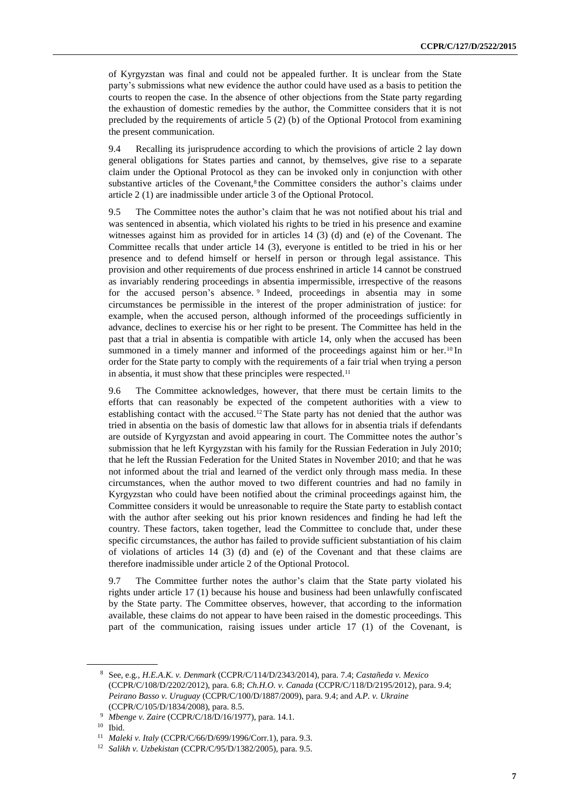of Kyrgyzstan was final and could not be appealed further. It is unclear from the State party's submissions what new evidence the author could have used as a basis to petition the courts to reopen the case. In the absence of other objections from the State party regarding the exhaustion of domestic remedies by the author, the Committee considers that it is not precluded by the requirements of article  $5(2)$  (b) of the Optional Protocol from examining the present communication.

9.4 Recalling its jurisprudence according to which the provisions of article 2 lay down general obligations for States parties and cannot, by themselves, give rise to a separate claim under the Optional Protocol as they can be invoked only in conjunction with other substantive articles of the Covenant, $8$  the Committee considers the author's claims under article 2 (1) are inadmissible under article 3 of the Optional Protocol.

9.5 The Committee notes the author's claim that he was not notified about his trial and was sentenced in absentia, which violated his rights to be tried in his presence and examine witnesses against him as provided for in articles 14 (3) (d) and (e) of the Covenant. The Committee recalls that under article 14 (3), everyone is entitled to be tried in his or her presence and to defend himself or herself in person or through legal assistance. This provision and other requirements of due process enshrined in article 14 cannot be construed as invariably rendering proceedings in absentia impermissible, irrespective of the reasons for the accused person's absence. <sup>9</sup> Indeed, proceedings in absentia may in some circumstances be permissible in the interest of the proper administration of justice: for example, when the accused person, although informed of the proceedings sufficiently in advance, declines to exercise his or her right to be present. The Committee has held in the past that a trial in absentia is compatible with article 14, only when the accused has been summoned in a timely manner and informed of the proceedings against him or her.<sup>10</sup> In order for the State party to comply with the requirements of a fair trial when trying a person in absentia, it must show that these principles were respected.<sup>11</sup>

9.6 The Committee acknowledges, however, that there must be certain limits to the efforts that can reasonably be expected of the competent authorities with a view to establishing contact with the accused.<sup>12</sup>The State party has not denied that the author was tried in absentia on the basis of domestic law that allows for in absentia trials if defendants are outside of Kyrgyzstan and avoid appearing in court. The Committee notes the author's submission that he left Kyrgyzstan with his family for the Russian Federation in July 2010; that he left the Russian Federation for the United States in November 2010; and that he was not informed about the trial and learned of the verdict only through mass media. In these circumstances, when the author moved to two different countries and had no family in Kyrgyzstan who could have been notified about the criminal proceedings against him, the Committee considers it would be unreasonable to require the State party to establish contact with the author after seeking out his prior known residences and finding he had left the country. These factors, taken together, lead the Committee to conclude that, under these specific circumstances, the author has failed to provide sufficient substantiation of his claim of violations of articles 14 (3) (d) and (e) of the Covenant and that these claims are therefore inadmissible under article 2 of the Optional Protocol.

9.7 The Committee further notes the author's claim that the State party violated his rights under article 17 (1) because his house and business had been unlawfully confiscated by the State party. The Committee observes, however, that according to the information available, these claims do not appear to have been raised in the domestic proceedings. This part of the communication, raising issues under article 17 (1) of the Covenant, is

<sup>8</sup> See, e.g., *H.E.A.K. v. Denmark* (CCPR/C/114/D/2343/2014), para. 7.4; *Castañeda v. Mexico* (CCPR/C/108/D/2202/2012), para. 6.8; *Ch.H.O. v. Canada* (CCPR/C/118/D/2195/2012), para. 9.4; *Peirano Basso v. Uruguay* (CCPR/C/100/D/1887/2009), para. 9.4; and *A.P. v. Ukraine* (CCPR/C/105/D/1834/2008), para. 8.5.

<sup>9</sup> *Mbenge v. Zaire* (CCPR/C/18/D/16/1977), para. 14.1.

<sup>10</sup> Ibid.

<sup>11</sup> *Maleki v. Italy* (CCPR/C/66/D/699/1996/Corr.1), para. 9.3.

<sup>12</sup> *Salikh v. Uzbekistan* (CCPR/C/95/D/1382/2005), para. 9.5.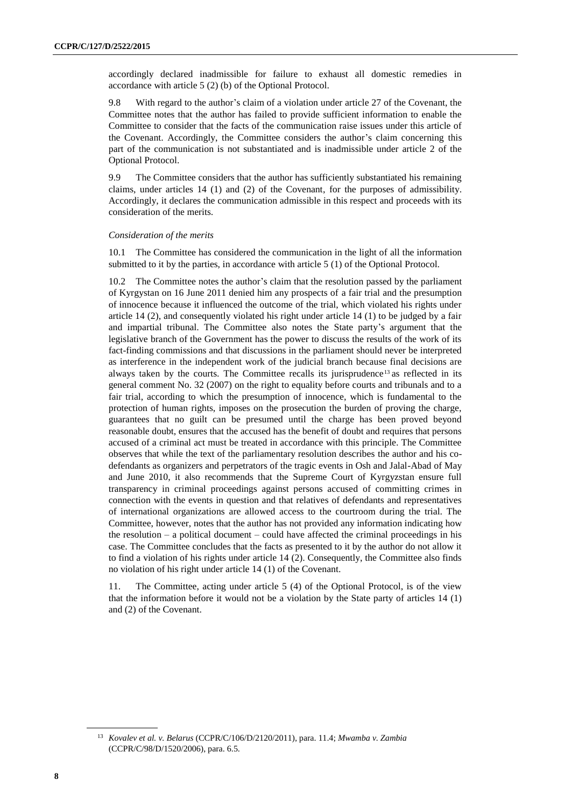accordingly declared inadmissible for failure to exhaust all domestic remedies in accordance with article 5 (2) (b) of the Optional Protocol.

9.8 With regard to the author's claim of a violation under article 27 of the Covenant, the Committee notes that the author has failed to provide sufficient information to enable the Committee to consider that the facts of the communication raise issues under this article of the Covenant. Accordingly, the Committee considers the author's claim concerning this part of the communication is not substantiated and is inadmissible under article 2 of the Optional Protocol.

9.9 The Committee considers that the author has sufficiently substantiated his remaining claims, under articles 14 (1) and (2) of the Covenant, for the purposes of admissibility. Accordingly, it declares the communication admissible in this respect and proceeds with its consideration of the merits.

#### *Consideration of the merits*

10.1 The Committee has considered the communication in the light of all the information submitted to it by the parties, in accordance with article 5 (1) of the Optional Protocol.

10.2 The Committee notes the author's claim that the resolution passed by the parliament of Kyrgystan on 16 June 2011 denied him any prospects of a fair trial and the presumption of innocence because it influenced the outcome of the trial, which violated his rights under article 14 (2), and consequently violated his right under article 14 (1) to be judged by a fair and impartial tribunal. The Committee also notes the State party's argument that the legislative branch of the Government has the power to discuss the results of the work of its fact-finding commissions and that discussions in the parliament should never be interpreted as interference in the independent work of the judicial branch because final decisions are always taken by the courts. The Committee recalls its jurisprudence<sup>13</sup> as reflected in its general comment No. 32 (2007) on the right to equality before courts and tribunals and to a fair trial, according to which the presumption of innocence, which is fundamental to the protection of human rights, imposes on the prosecution the burden of proving the charge, guarantees that no guilt can be presumed until the charge has been proved beyond reasonable doubt, ensures that the accused has the benefit of doubt and requires that persons accused of a criminal act must be treated in accordance with this principle. The Committee observes that while the text of the parliamentary resolution describes the author and his codefendants as organizers and perpetrators of the tragic events in Osh and Jalal-Abad of May and June 2010, it also recommends that the Supreme Court of Kyrgyzstan ensure full transparency in criminal proceedings against persons accused of committing crimes in connection with the events in question and that relatives of defendants and representatives of international organizations are allowed access to the courtroom during the trial. The Committee, however, notes that the author has not provided any information indicating how the resolution – a political document – could have affected the criminal proceedings in his case. The Committee concludes that the facts as presented to it by the author do not allow it to find a violation of his rights under article 14 (2). Consequently, the Committee also finds no violation of his right under article 14 (1) of the Covenant.

11. The Committee, acting under article 5 (4) of the Optional Protocol, is of the view that the information before it would not be a violation by the State party of articles 14 (1) and (2) of the Covenant.

<sup>13</sup> *Kovalev et al. v. Belarus* (CCPR/C/106/D/2120/2011), para. 11.4; *Mwamba v. Zambia* (CCPR/C/98/D/1520/2006), para. 6.5.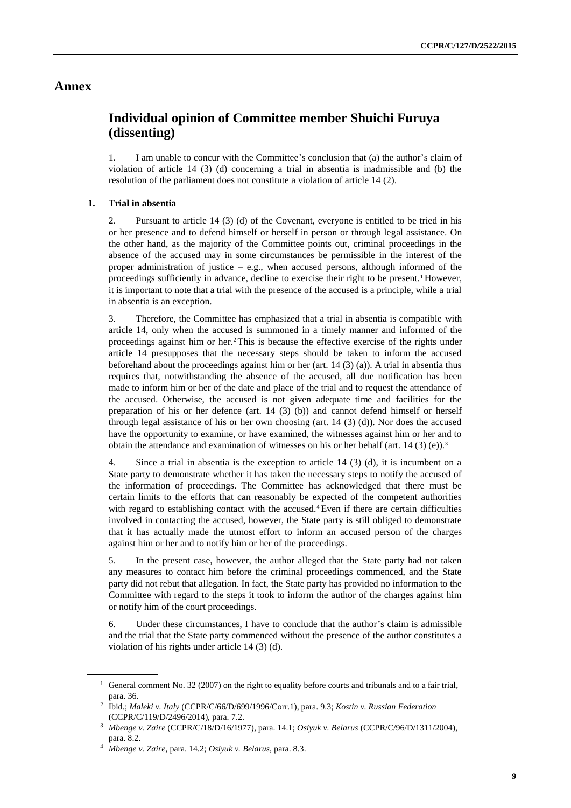### **Annex**

## **Individual opinion of Committee member Shuichi Furuya (dissenting)**

1. I am unable to concur with the Committee's conclusion that (a) the author's claim of violation of article  $14$  (3) (d) concerning a trial in absentia is inadmissible and (b) the resolution of the parliament does not constitute a violation of article 14 (2).

#### **1. Trial in absentia**

2. Pursuant to article 14 (3) (d) of the Covenant, everyone is entitled to be tried in his or her presence and to defend himself or herself in person or through legal assistance. On the other hand, as the majority of the Committee points out, criminal proceedings in the absence of the accused may in some circumstances be permissible in the interest of the proper administration of justice  $-$  e.g., when accused persons, although informed of the proceedings sufficiently in advance, decline to exercise their right to be present.<sup>1</sup> However, it is important to note that a trial with the presence of the accused is a principle, while a trial in absentia is an exception.

3. Therefore, the Committee has emphasized that a trial in absentia is compatible with article 14, only when the accused is summoned in a timely manner and informed of the proceedings against him or her.2This is because the effective exercise of the rights under article 14 presupposes that the necessary steps should be taken to inform the accused beforehand about the proceedings against him or her (art. 14 (3) (a)). A trial in absentia thus requires that, notwithstanding the absence of the accused, all due notification has been made to inform him or her of the date and place of the trial and to request the attendance of the accused. Otherwise, the accused is not given adequate time and facilities for the preparation of his or her defence (art. 14 (3) (b)) and cannot defend himself or herself through legal assistance of his or her own choosing (art.  $14$  (3) (d)). Nor does the accused have the opportunity to examine, or have examined, the witnesses against him or her and to obtain the attendance and examination of witnesses on his or her behalf (art. 14 (3) (e)).<sup>3</sup>

4. Since a trial in absentia is the exception to article 14 (3) (d), it is incumbent on a State party to demonstrate whether it has taken the necessary steps to notify the accused of the information of proceedings. The Committee has acknowledged that there must be certain limits to the efforts that can reasonably be expected of the competent authorities with regard to establishing contact with the accused.<sup>4</sup> Even if there are certain difficulties involved in contacting the accused, however, the State party is still obliged to demonstrate that it has actually made the utmost effort to inform an accused person of the charges against him or her and to notify him or her of the proceedings.

5. In the present case, however, the author alleged that the State party had not taken any measures to contact him before the criminal proceedings commenced, and the State party did not rebut that allegation. In fact, the State party has provided no information to the Committee with regard to the steps it took to inform the author of the charges against him or notify him of the court proceedings.

6. Under these circumstances, I have to conclude that the author's claim is admissible and the trial that the State party commenced without the presence of the author constitutes a violation of his rights under article 14 (3) (d).

<sup>&</sup>lt;sup>1</sup> General comment No. 32 (2007) on the right to equality before courts and tribunals and to a fair trial, para. 36.

<sup>2</sup> Ibid*.*; *Maleki v. Italy* (CCPR/C/66/D/699/1996/Corr.1), para. 9.3; *Kostin v. Russian Federation* (CCPR/C/119/D/2496/2014), para. 7.2.

<sup>3</sup> *Mbenge v. Zaire* (CCPR/C/18/D/16/1977), para. 14.1; *Osiyuk v. Belarus* (CCPR/C/96/D/1311/2004), para. 8.2.

<sup>4</sup> *Mbenge v. Zaire*, para. 14.2; *Osiyuk v. Belarus*, para. 8.3.